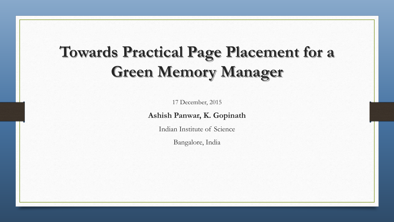# **Towards Practical Page Placement for a Green Memory Manager**

17 December, 2015

**Ashish Panwar, K. Gopinath**

Indian Institute of Science

Bangalore, India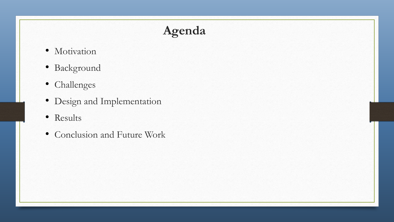## **Agenda**

- Motivation
- Background
- Challenges
- Design and Implementation
- Results
- Conclusion and Future Work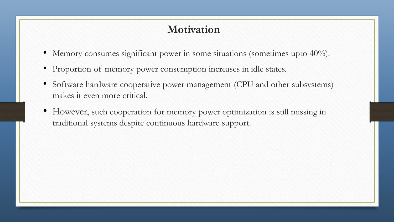### **Motivation**

- Memory consumes significant power in some situations (sometimes upto 40%).
- Proportion of memory power consumption increases in idle states.
- Software hardware cooperative power management (CPU and other subsystems) makes it even more critical.
- However, such cooperation for memory power optimization is still missing in traditional systems despite continuous hardware support.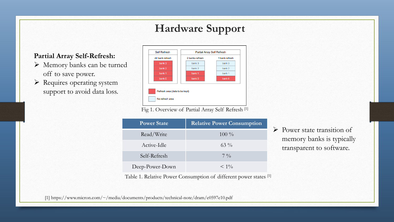### **Hardware Support**

#### **Partial Array Self-Refresh:**

- Memory banks can be turned off to save power.
- $\triangleright$  Requires operating system support to avoid data loss.

| <b>Self Refresh</b> | <b>Partial Array Self Refresh</b> |                |  |  |
|---------------------|-----------------------------------|----------------|--|--|
| All bank refresh    | 2 banks refresh                   | 1 bank refresh |  |  |
| bank 3              | bank 3                            | bank 3         |  |  |
| bank 2              | bank 2                            | bank 2         |  |  |
| bank 1              | bank 1                            | bank 1         |  |  |
| bank 0              | bank 0                            | bank 0         |  |  |

Fig 1. Overview of Partial Array Self Refresh [1]

| <b>Power State</b> | <b>Relative Power Consumption</b> |
|--------------------|-----------------------------------|
| Read/Write         | $100\%$                           |
| Active-Idle        | $63\%$                            |
| Self-Refresh       | $7 \frac{0}{0}$                   |
| Deep-Power-Down    | $< 1\%$                           |

Table 1. Relative Power Consumption of different power states [1]

 $\triangleright$  Power state transition of memory banks is typically transparent to software.

[1] https://www.micron.com/~/media/documents/products/technical-note/dram/e0597e10.pdf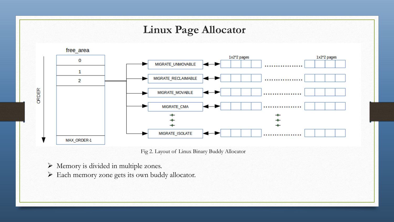

Fig 2. Layout of Linux Binary Buddy Allocator

- Memory is divided in multiple zones.
- Each memory zone gets its own buddy allocator.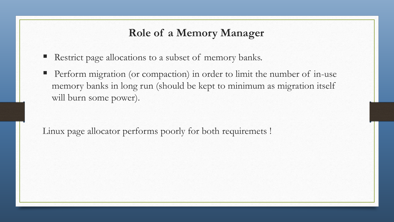#### **Role of a Memory Manager**

- Restrict page allocations to a subset of memory banks.
- Perform migration (or compaction) in order to limit the number of in-use memory banks in long run (should be kept to minimum as migration itself will burn some power).

Linux page allocator performs poorly for both requiremets !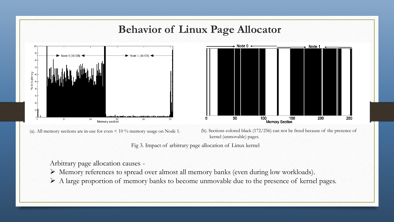

Arbitrary page allocation causes -

Memory references to spread over almost all memory banks (even during low workloads).

A large proportion of memory banks to become unmovable due to the presence of kernel pages.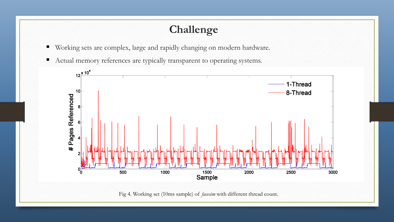### **Challenge**

- Working sets are complex, large and rapidly changing on modern hardware.
- Actual memory references are typically transparent to operating systems.



Fig 4. Working set (10ms sample) of *facesim* with different thread count.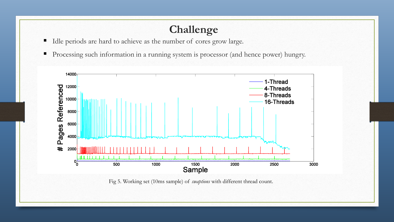### **Challenge**

- Idle periods are hard to achieve as the number of cores grow large.
- Processing such information in a running system is processor (and hence power) hungry.



Fig 5. Working set (10ms sample) of *swaptions* with different thread count.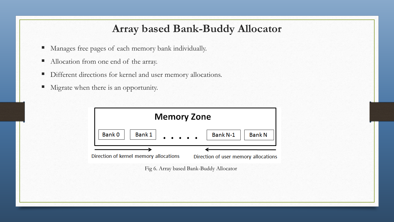#### **Array based Bank-Buddy Allocator**

- Manages free pages of each memory bank individually.
- Allocation from one end of the array.
- Different directions for kernel and user memory allocations.
- Migrate when there is an opportunity.

| <b>Memory Zone</b>                     |                                         |  |                                      |               |
|----------------------------------------|-----------------------------------------|--|--------------------------------------|---------------|
| Bank 0                                 | Bank $1$                                |  | Bank N-1                             | <b>Bank N</b> |
| Direction of kernel memory allocations |                                         |  | Direction of user memory allocations |               |
|                                        | Fig 6. Array based Bank-Buddy Allocator |  |                                      |               |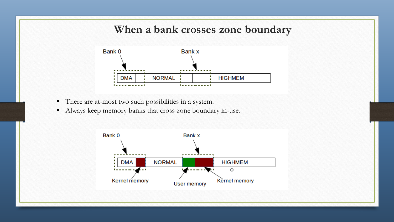#### **When a bank crosses zone boundary**



- There are at-most two such possibilities in a system.
- Always keep memory banks that cross zone boundary in-use.

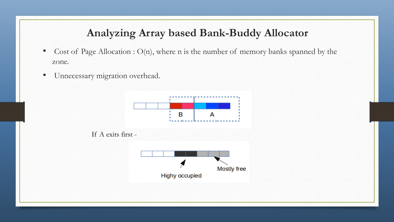### **Analyzing Array based Bank-Buddy Allocator**

- Cost of Page Allocation : O(n), where n is the number of memory banks spanned by the zone.
- Unnecessary migration overhead.

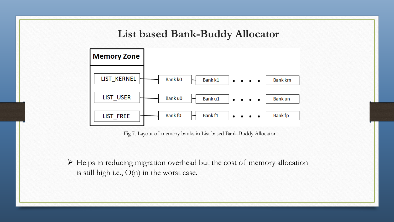#### **List based Bank-Buddy Allocator**



Fig 7. Layout of memory banks in List based Bank-Buddy Allocator

 Helps in reducing migration overhead but the cost of memory allocation is still high i.e., O(n) in the worst case.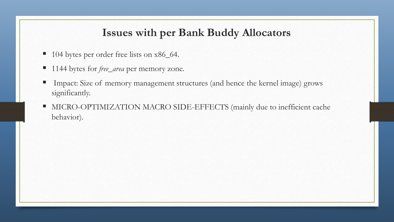#### **Issues with per Bank Buddy Allocators**

- 104 bytes per order free lists on x86\_64.
- 1144 bytes for *free\_area* per memory zone.
- Impact: Size of memory management structures (and hence the kernel image) grows significantly.
- **MICRO-OPTIMIZATION MACRO SIDE-EFFECTS (mainly due to inefficient cache** behavior).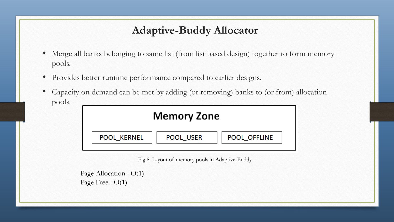### **Adaptive-Buddy Allocator**

- Merge all banks belonging to same list (from list based design) together to form memory pools.
- Provides better runtime performance compared to earlier designs.
- Capacity on demand can be met by adding (or removing) banks to (or from) allocation pools.

| <b>Memory Zone</b> |  |           |              |  |  |
|--------------------|--|-----------|--------------|--|--|
| <b>POOL KERNEL</b> |  | POOL USER | POOL OFFLINE |  |  |

Fig 8. Layout of memory pools in Adaptive-Buddy

```
Page Allocation : O(1)
Page Free : O(1)
```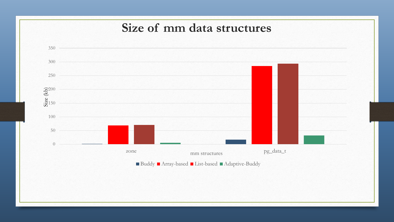### **Size of mm data structures**

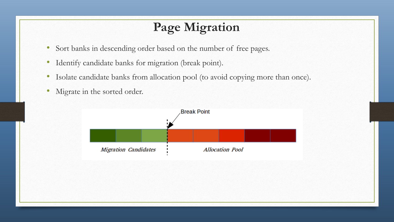## **Page Migration**

- Sort banks in descending order based on the number of free pages.
- Identify candidate banks for migration (break point).
- Isolate candidate banks from allocation pool (to avoid copying more than once).
- Migrate in the sorted order.

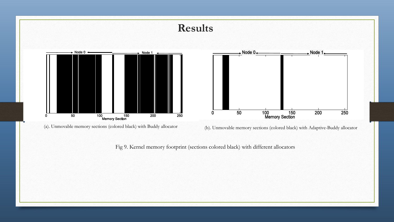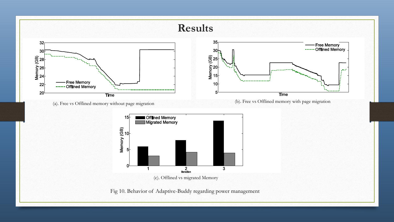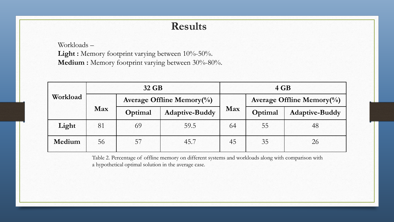#### **Results**

Workloads –

Light : Memory footprint varying between 10%-50%. Medium : Memory footprint varying between 30%-80%.

|          | 32 GB |                                      |                       | $4$ GB |                               |                       |
|----------|-------|--------------------------------------|-----------------------|--------|-------------------------------|-----------------------|
| Workload |       | Average Offline Memory $\frac{0}{0}$ |                       |        | Average Offline Memory $(\%)$ |                       |
|          | Max   | Optimal                              | <b>Adaptive-Buddy</b> | Max    | Optimal                       | <b>Adaptive-Buddy</b> |
| Light    | 81    | 69                                   | 59.5                  | 64     | 55                            | 48                    |
| Medium   | 56    | 57                                   | 45.7                  | 45     | 35                            | 26                    |

Table 2. Percentage of offline memory on different systems and workloads along with comparison with a hypothetical optimal solution in the average case.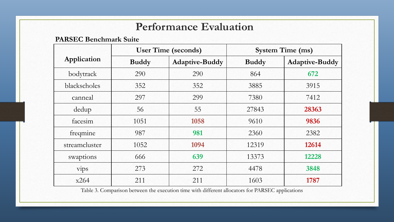### **Performance Evaluation**

**PARSEC Benchmark Suite**

|               |              | <b>User Time (seconds)</b> | <b>System Time (ms)</b> |                       |  |
|---------------|--------------|----------------------------|-------------------------|-----------------------|--|
| Application   | <b>Buddy</b> | <b>Adaptive-Buddy</b>      | <b>Buddy</b>            | <b>Adaptive-Buddy</b> |  |
| bodytrack     | 290          | 290                        | 864                     | 672                   |  |
| blackscholes  | 352          | 352                        | 3885                    | 3915                  |  |
| canneal       | 297          | 299                        | 7380                    | 7412                  |  |
| dedup         | 56           | 55                         | 27843                   | 28363                 |  |
| facesim       | 1051         | 1058                       | 9610                    | 9836                  |  |
| freqmine      | 987          | 981                        | 2360                    | 2382                  |  |
| streamcluster | 1052         | 1094                       | 12319                   | 12614                 |  |
| swaptions     | 666          | 639                        | 13373                   | 12228                 |  |
| <b>vips</b>   | 273          | 272                        | 4478                    | 3848                  |  |
| x264          | 211          | 211                        | 1603                    | 1787                  |  |

Table 3. Comparison between the execution time with different allocators for PARSEC applications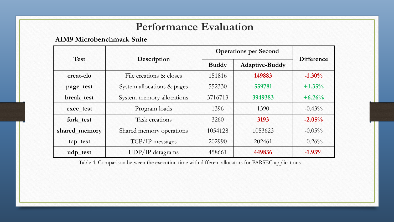### **Performance Evaluation**

#### **AIM9 Microbenchmark Suite**

|               |                            | <b>Operations per Second</b> |                       |                   |
|---------------|----------------------------|------------------------------|-----------------------|-------------------|
| <b>Test</b>   | <b>Description</b>         | <b>Buddy</b>                 | <b>Adaptive-Buddy</b> | <b>Difference</b> |
| creat-clo     | File creations & closes    | 151816                       | 149883                | $-1.30%$          |
| page_test     | System allocations & pages | 552330                       | 559781                | $+1.35%$          |
| break test    | System memory allocations  |                              | 3949383               | $+6.26%$          |
| exec_test     | Program loads              |                              | 1390                  | $-0.43\%$         |
| fork test     | Task creations             | 3260                         | 3193                  | $-2.05%$          |
| shared_memory | Shared memory operations   | 1054128                      | 1053623               | $-0.05\%$         |
| tcp_test      | TCP/IP messages            |                              | 202461                | $-0.26%$          |
| udp_test      | $UDP/IP$ datagrams         | 458661                       | 449836                | $-1.93%$          |

Table 4. Comparison between the execution time with different allocators for PARSEC applications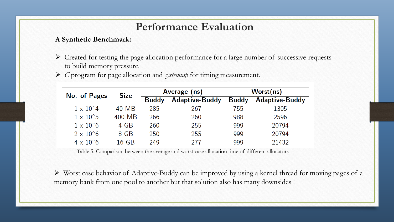#### **Performance Evaluation**

#### **A Synthetic Benchmark:**

- $\triangleright$  Created for testing the page allocation performance for a large number of successive requests to build memory pressure.
- *C* program for page allocation and *systemtap* for timing measurement.

| No. of Pages             | <b>Size</b> | Average (ns) |                       | Worst(ns)    |                       |
|--------------------------|-------------|--------------|-----------------------|--------------|-----------------------|
|                          |             | <b>Buddy</b> | <b>Adaptive-Buddy</b> | <b>Buddy</b> | <b>Adaptive-Buddy</b> |
| $1 \times 10^{\circ}4$   | 40 MB       | 285          | 267                   | 755          | 1305                  |
| $1 \times 10^{\degree}5$ | 400 MB      | 266          | 260                   | 988          | 2596                  |
| $1 \times 10^{\degree}6$ | 4 GB        | 260          | 255                   | 999          | 20794                 |
| $2 \times 10^{6}$        | 8 GB        | 250          | 255                   | 999          | 20794                 |
| $4 \times 10^{6}$        | 16 GB       | 249          | 277                   | 999          | 21432                 |

Table 5. Comparison between the average and worst case allocation time of different allocators

 Worst case behavior of Adaptive-Buddy can be improved by using a kernel thread for moving pages of a memory bank from one pool to another but that solution also has many downsides !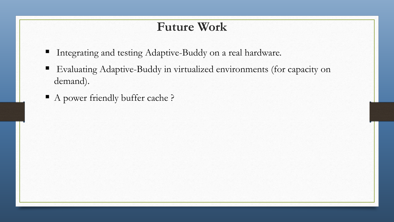### **Future Work**

- Integrating and testing Adaptive-Buddy on a real hardware.
- Evaluating Adaptive-Buddy in virtualized environments (for capacity on demand).
- A power friendly buffer cache?